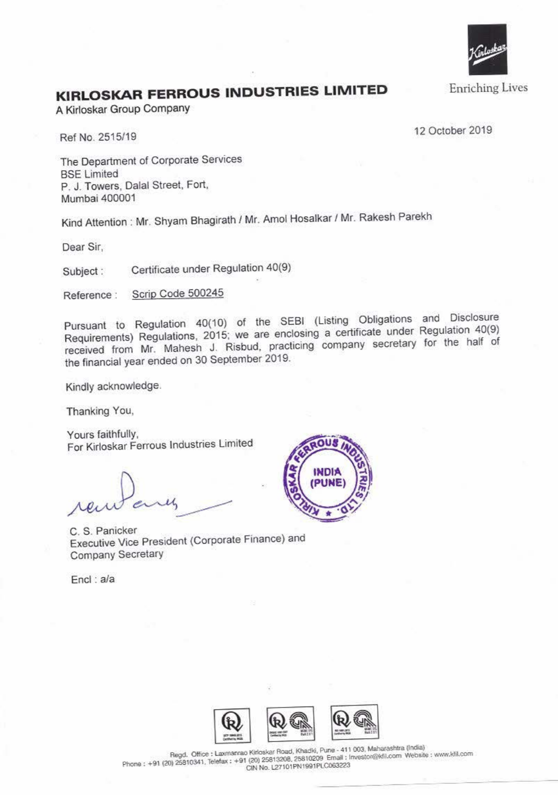

## **KIRLOSKAR FERROUS INDUSTRIES LIMITED**

A Kirloskar Group Company

Ref No. 2515/19 12 October 2019

The Department of Corporate Services BSE Limited P. J. Towers. Dalal Street, Fort, Mumbai 400001

Kind Attention : Mr. Shyam Bhagirath / Mr. Amol Hosalkar / Mr. Rakesh Parekh

Dear Sir,

Subject : Certificate under Regulation 40(9)

Reference : Scrip Code 500245

Pursuant to Regulation 40(10) of the SEBI (Listing Obligations and Disclosure Requirements) Regulations. 2015; we are enclosing a certificate under Regulation 40(9) received from Mr. Mahesh J. Risbud, practicing company secretary for the half of the financial year ended on 30 September 2019.

Kindly acknowledge.

Thanking You,

Yours faithfully, For Kirloskar Ferrous Industries Limited

C. S. Panicker Executive Vice President (Corporate Finance) and Company Secretary

Encl : a/a





 $R$ egd. **Office : Laxmanrao Kirloskar Road, Khadki, Pune - 411 003, Maharashtra (India) Phone: +91 (20) 25810341. Telefax: +91 (20) 25813208. 25810209 <b>Email: Investor@kfil.com** Website: www.kill.com<br>CIN No. L27101PN1991PLC063223 **CIN No. l27101PN1991PLCOG3223**